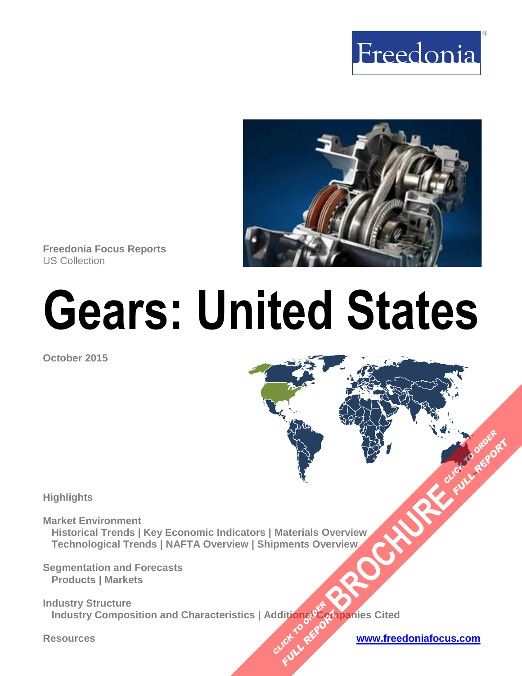



**Freedonia Focus Reports** US Collection

# **Gears: United States**

**October 2015**

**Highlights** 

**Market Environment Historical Trends | Key Economic Indicators | Materials Overview Technological Trends | NAFTA Overview | Shipments Overview [BROCHURE](http://www.freedoniagroup.com/FocusDetails.aspx?ReferrerId=FM-FocusBro&ReportID=FF70018) AND CLICK TO ORDER** 

**Segmentation and Forecasts Products | Markets** 

**Industry Structure Industry Composition and Characteristics | Additional Companies Cited CLICK TO REPORT FULL REPORT** 

**Resources [www.freedoniafocus.com](http://www.freedoniagroup.com/FocusReports.aspx?ReferrerId=FM-FocusBro)**

**FULL REPORT**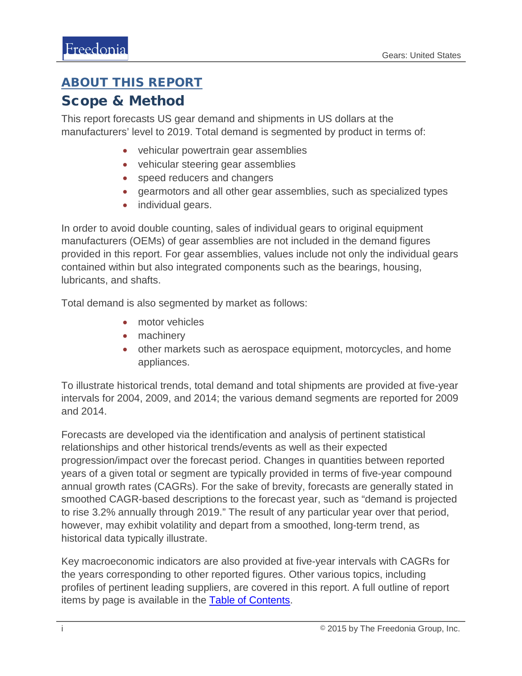## <span id="page-1-0"></span>ABOUT THIS REPORT

## Scope & Method

This report forecasts US gear demand and shipments in US dollars at the manufacturers' level to 2019. Total demand is segmented by product in terms of:

- vehicular powertrain gear assemblies
- vehicular steering gear assemblies
- speed reducers and changers
- gearmotors and all other gear assemblies, such as specialized types
- individual gears.

In order to avoid double counting, sales of individual gears to original equipment manufacturers (OEMs) of gear assemblies are not included in the demand figures provided in this report. For gear assemblies, values include not only the individual gears contained within but also integrated components such as the bearings, housing, lubricants, and shafts.

Total demand is also segmented by market as follows:

- motor vehicles
- machinery
- other markets such as aerospace equipment, motorcycles, and home appliances.

To illustrate historical trends, total demand and total shipments are provided at five-year intervals for 2004, 2009, and 2014; the various demand segments are reported for 2009 and 2014.

Forecasts are developed via the identification and analysis of pertinent statistical relationships and other historical trends/events as well as their expected progression/impact over the forecast period. Changes in quantities between reported years of a given total or segment are typically provided in terms of five-year compound annual growth rates (CAGRs). For the sake of brevity, forecasts are generally stated in smoothed CAGR-based descriptions to the forecast year, such as "demand is projected to rise 3.2% annually through 2019." The result of any particular year over that period, however, may exhibit volatility and depart from a smoothed, long-term trend, as historical data typically illustrate.

Key macroeconomic indicators are also provided at five-year intervals with CAGRs for the years corresponding to other reported figures. Other various topics, including profiles of pertinent leading suppliers, are covered in this report. A full outline of report items by page is available in the **Table of Contents**.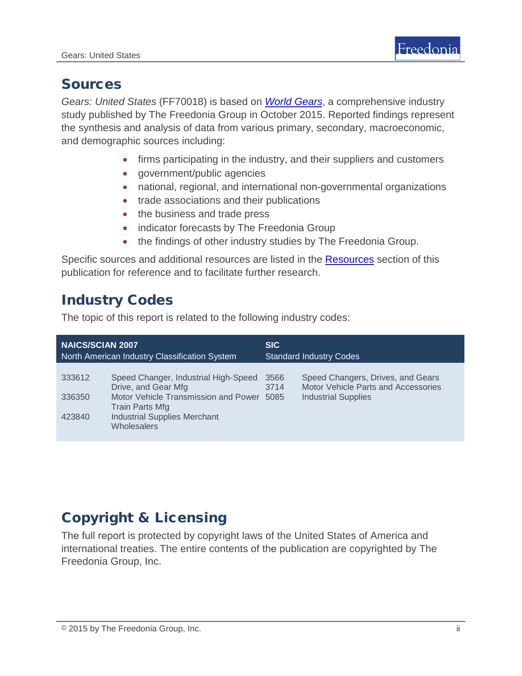## Sources

*Gears: United States* (FF70018) is based on *[World Gears](http://www.freedoniagroup.com/DocumentDetails.aspx?ReferrerId=FL-FOCUS&studyid=3320)*, a comprehensive industry study published by The Freedonia Group in October 2015. Reported findings represent the synthesis and analysis of data from various primary, secondary, macroeconomic, and demographic sources including:

- firms participating in the industry, and their suppliers and customers
- government/public agencies
- national, regional, and international non-governmental organizations
- trade associations and their publications
- the business and trade press
- indicator forecasts by The Freedonia Group
- the findings of other industry studies by The Freedonia Group.

Specific sources and additional resources are listed in the [Resources](#page-4-0) section of this publication for reference and to facilitate further research.

# Industry Codes

The topic of this report is related to the following industry codes:

| <b>NAICS/SCIAN 2007</b><br>North American Industry Classification System |                                                             | <b>SIC</b><br><b>Standard Industry Codes</b> |                                                                          |
|--------------------------------------------------------------------------|-------------------------------------------------------------|----------------------------------------------|--------------------------------------------------------------------------|
|                                                                          |                                                             |                                              |                                                                          |
| 333612                                                                   | Speed Changer, Industrial High-Speed<br>Drive, and Gear Mfg | 3566<br>3714                                 | Speed Changers, Drives, and Gears<br>Motor Vehicle Parts and Accessories |
| 336350                                                                   | Motor Vehicle Transmission and Power<br>Train Parts Mfg     | 5085                                         | <b>Industrial Supplies</b>                                               |
| 423840                                                                   | <b>Industrial Supplies Merchant</b><br><b>Wholesalers</b>   |                                              |                                                                          |

# Copyright & Licensing

The full report is protected by copyright laws of the United States of America and international treaties. The entire contents of the publication are copyrighted by The Freedonia Group, Inc.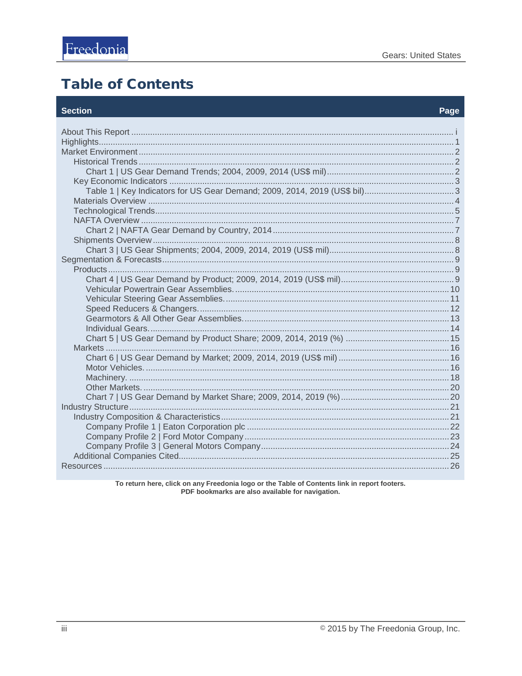# <span id="page-3-0"></span>**Table of Contents**

#### **Section**

#### Page

To return here, click on any Freedonia logo or the Table of Contents link in report footers.<br>PDF bookmarks are also available for navigation.